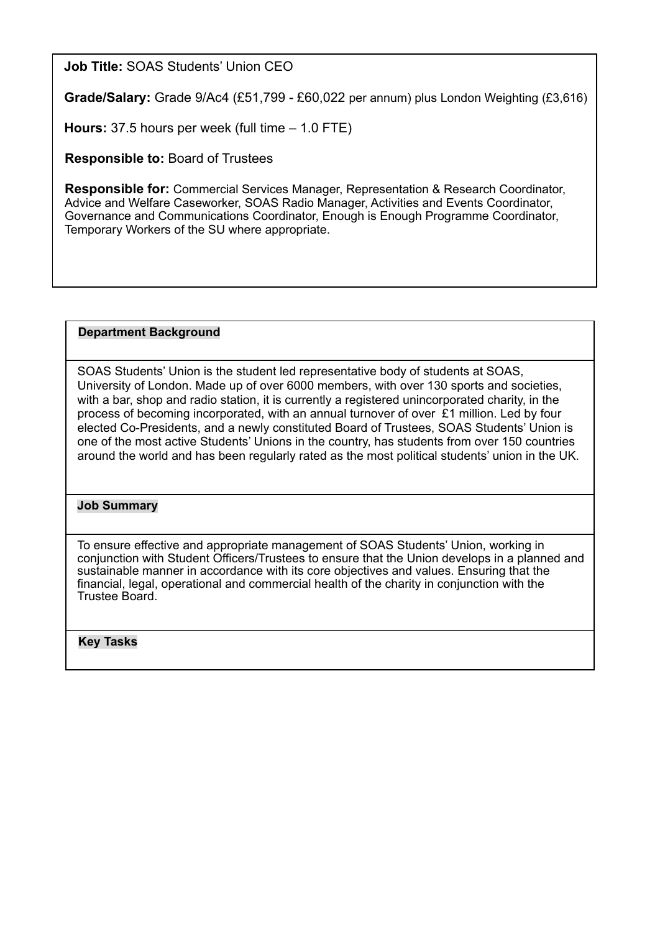**Job Title:** SOAS Students' Union CEO

**Grade/Salary:** Grade 9/Ac4 (£51,799 - £60,022 per annum) plus London Weighting (£3,616)

**Hours:** 37.5 hours per week (full time – 1.0 FTE)

**Responsible to:** Board of Trustees

**Responsible for:** Commercial Services Manager, Representation & Research Coordinator, Advice and Welfare Caseworker, SOAS Radio Manager, Activities and Events Coordinator, Governance and Communications Coordinator, Enough is Enough Programme Coordinator, Temporary Workers of the SU where appropriate.

## **Department Background**

SOAS Students' Union is the student led representative body of students at SOAS, University of London. Made up of over 6000 members, with over 130 sports and societies, with a bar, shop and radio station, it is currently a registered unincorporated charity, in the process of becoming incorporated, with an annual turnover of over £1 million. Led by four elected Co-Presidents, and a newly constituted Board of Trustees, SOAS Students' Union is one of the most active Students' Unions in the country, has students from over 150 countries around the world and has been regularly rated as the most political students' union in the UK.

## **Job Summary**

To ensure effective and appropriate management of SOAS Students' Union, working in conjunction with Student Officers/Trustees to ensure that the Union develops in a planned and sustainable manner in accordance with its core objectives and values. Ensuring that the financial, legal, operational and commercial health of the charity in conjunction with the Trustee Board.

**Key Tasks**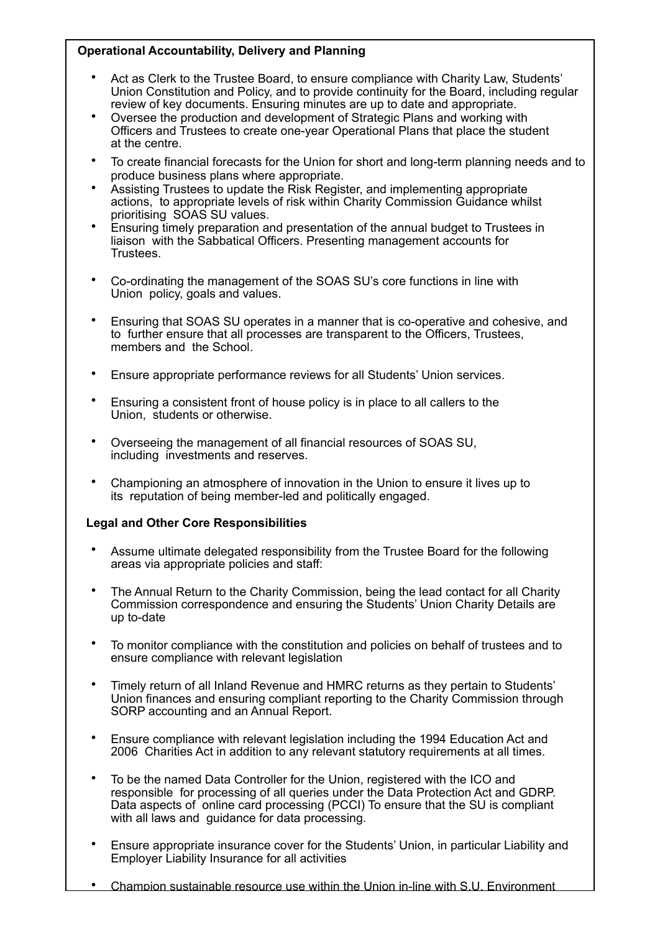# **Operational Accountability, Delivery and Planning**

- Act as Clerk to the Trustee Board, to ensure compliance with Charity Law, Students' Union Constitution and Policy, and to provide continuity for the Board, including regular review of key documents. Ensuring minutes are up to date and appropriate.
- Oversee the production and development of Strategic Plans and working with Officers and Trustees to create one-year Operational Plans that place the student at the centre.
- To create financial forecasts for the Union for short and long-term planning needs and to produce business plans where appropriate.
- Assisting Trustees to update the Risk Register, and implementing appropriate actions, to appropriate levels of risk within Charity Commission Guidance whilst prioritising SOAS SU values.
- Ensuring timely preparation and presentation of the annual budget to Trustees in liaison with the Sabbatical Officers. Presenting management accounts for Trustees.
- Co-ordinating the management of the SOAS SU's core functions in line with Union policy, goals and values.
- Ensuring that SOAS SU operates in a manner that is co-operative and cohesive, and to further ensure that all processes are transparent to the Officers, Trustees, members and the School.
- Ensure appropriate performance reviews for all Students' Union services.
- Ensuring a consistent front of house policy is in place to all callers to the Union, students or otherwise.
- Overseeing the management of all financial resources of SOAS SU, including investments and reserves.
- Championing an atmosphere of innovation in the Union to ensure it lives up to its reputation of being member-led and politically engaged.

# **Legal and Other Core Responsibilities**

- Assume ultimate delegated responsibility from the Trustee Board for the following areas via appropriate policies and staff:
- The Annual Return to the Charity Commission, being the lead contact for all Charity Commission correspondence and ensuring the Students' Union Charity Details are up to-date
- To monitor compliance with the constitution and policies on behalf of trustees and to ensure compliance with relevant legislation
- Timely return of all Inland Revenue and HMRC returns as they pertain to Students' Union finances and ensuring compliant reporting to the Charity Commission through SORP accounting and an Annual Report.
- Ensure compliance with relevant legislation including the 1994 Education Act and 2006 Charities Act in addition to any relevant statutory requirements at all times.
- To be the named Data Controller for the Union, registered with the ICO and responsible for processing of all queries under the Data Protection Act and GDRP. Data aspects of online card processing (PCCI) To ensure that the SU is compliant with all laws and guidance for data processing.
- Ensure appropriate insurance cover for the Students' Union, in particular Liability and Employer Liability Insurance for all activities
- Champion sustainable resource use within the Union in-line with S.U. Environment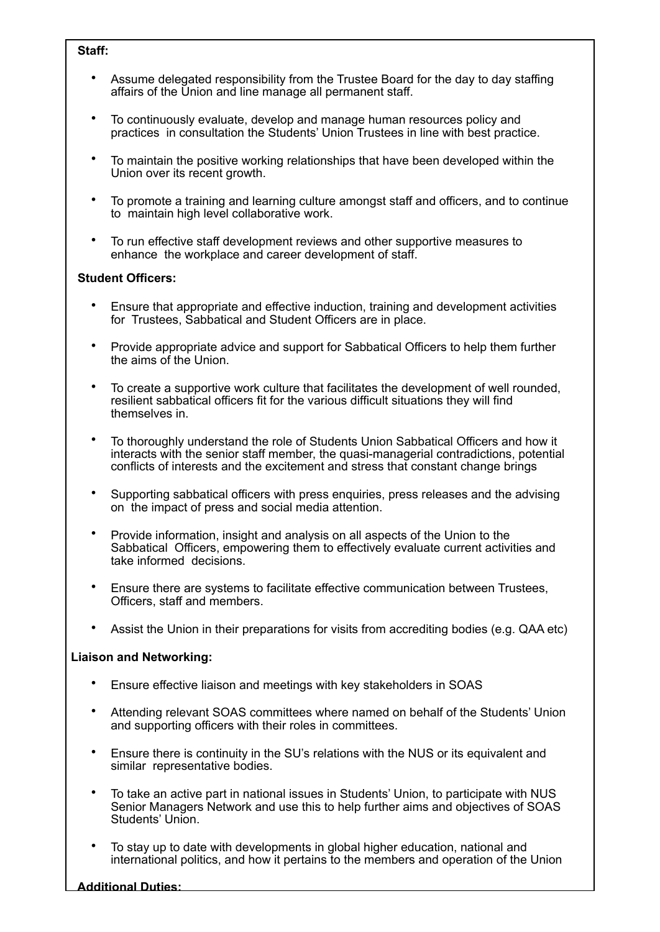#### **Staff:**

- Assume delegated responsibility from the Trustee Board for the day to day staffing affairs of the Union and line manage all permanent staff.
- To continuously evaluate, develop and manage human resources policy and practices in consultation the Students' Union Trustees in line with best practice.
- To maintain the positive working relationships that have been developed within the Union over its recent growth.
- To promote a training and learning culture amongst staff and officers, and to continue to maintain high level collaborative work.
- To run effective staff development reviews and other supportive measures to enhance the workplace and career development of staff.

## **Student Officers:**

- Ensure that appropriate and effective induction, training and development activities for Trustees, Sabbatical and Student Officers are in place.
- Provide appropriate advice and support for Sabbatical Officers to help them further the aims of the Union.
- To create a supportive work culture that facilitates the development of well rounded, resilient sabbatical officers fit for the various difficult situations they will find themselves in.
- To thoroughly understand the role of Students Union Sabbatical Officers and how it interacts with the senior staff member, the quasi-managerial contradictions, potential conflicts of interests and the excitement and stress that constant change brings
- Supporting sabbatical officers with press enquiries, press releases and the advising on the impact of press and social media attention.
- Provide information, insight and analysis on all aspects of the Union to the Sabbatical Officers, empowering them to effectively evaluate current activities and take informed decisions.
- Ensure there are systems to facilitate effective communication between Trustees, Officers, staff and members.
- Assist the Union in their preparations for visits from accrediting bodies (e.g. QAA etc)

## **Liaison and Networking:**

- Ensure effective liaison and meetings with key stakeholders in SOAS
- Attending relevant SOAS committees where named on behalf of the Students' Union and supporting officers with their roles in committees.
- Ensure there is continuity in the SU's relations with the NUS or its equivalent and similar representative bodies.
- To take an active part in national issues in Students' Union, to participate with NUS Senior Managers Network and use this to help further aims and objectives of SOAS Students' Union.
- To stay up to date with developments in global higher education, national and international politics, and how it pertains to the members and operation of the Union

#### **Additional Duties:**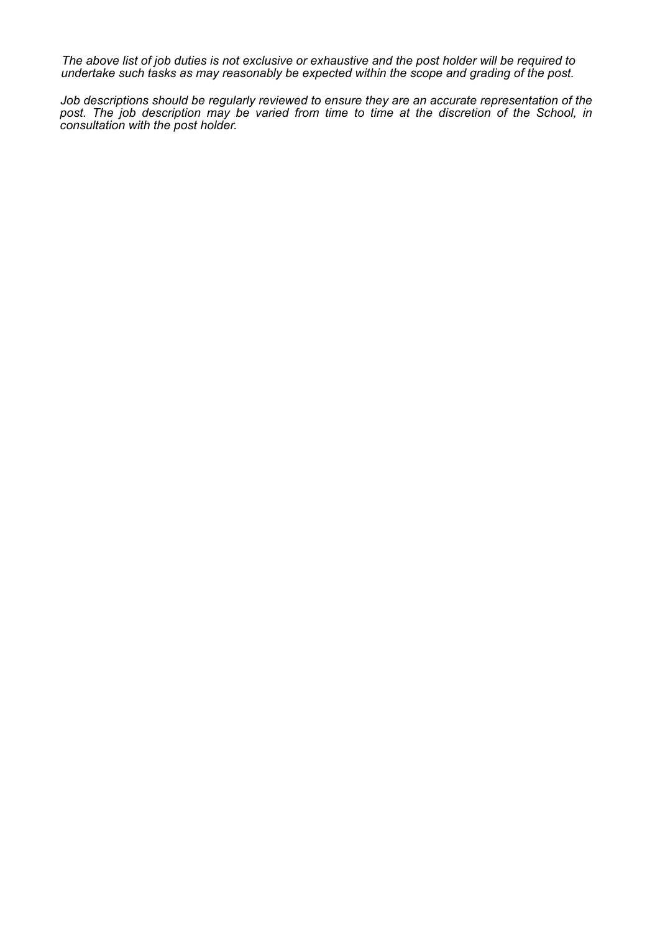*The above list of job duties is not exclusive or exhaustive and the post holder will be required to undertake such tasks as may reasonably be expected within the scope and grading of the post.* 

*Job descriptions should be regularly reviewed to ensure they are an accurate representation of the post. The job description may be varied from time to time at the discretion of the School, in consultation with the post holder.*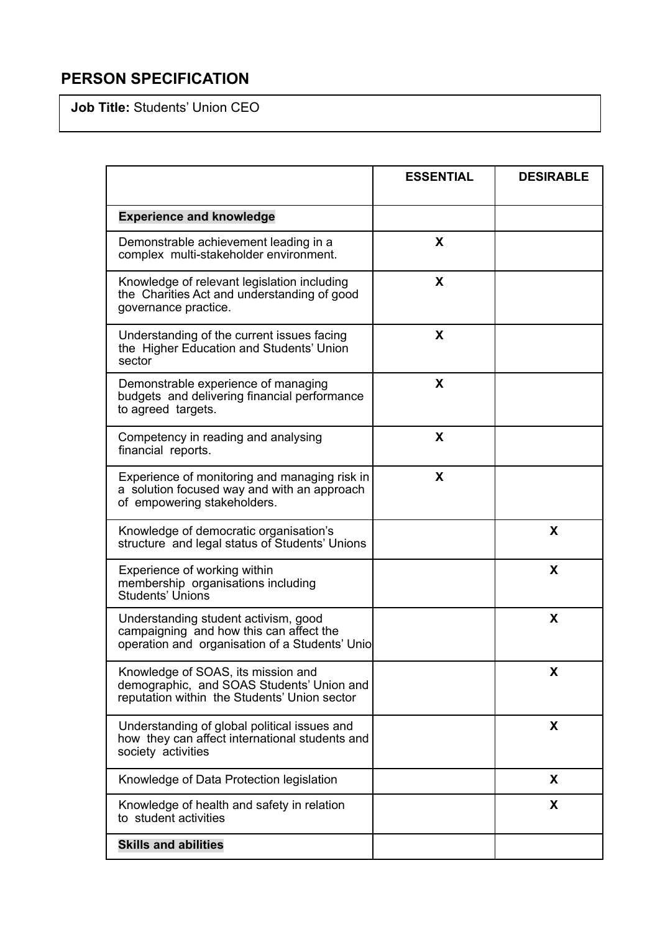# **PERSON SPECIFICATION**

**Job Title:** Students' Union CEO

|                                                                                                                                   | <b>ESSENTIAL</b> | <b>DESIRABLE</b> |
|-----------------------------------------------------------------------------------------------------------------------------------|------------------|------------------|
| <b>Experience and knowledge</b>                                                                                                   |                  |                  |
| Demonstrable achievement leading in a<br>complex multi-stakeholder environment.                                                   | X                |                  |
| Knowledge of relevant legislation including<br>the Charities Act and understanding of good<br>governance practice.                | X                |                  |
| Understanding of the current issues facing<br>the Higher Education and Students' Union<br>sector                                  | X                |                  |
| Demonstrable experience of managing<br>budgets and delivering financial performance<br>to agreed targets.                         | X                |                  |
| Competency in reading and analysing<br>financial reports.                                                                         | X                |                  |
| Experience of monitoring and managing risk in<br>a solution focused way and with an approach<br>of empowering stakeholders.       | X                |                  |
| Knowledge of democratic organisation's<br>structure and legal status of Students' Unions                                          |                  | X                |
| Experience of working within<br>membership organisations including<br>Students' Unions                                            |                  | X                |
| Understanding student activism, good<br>campaigning and how this can affect the<br>operation and organisation of a Students' Unio |                  | X                |
| Knowledge of SOAS, its mission and<br>demographic, and SOAS Students' Union and<br>reputation within the Students' Union sector   |                  | X                |
| Understanding of global political issues and<br>how they can affect international students and<br>society activities              |                  | X                |
| Knowledge of Data Protection legislation                                                                                          |                  | X                |
| Knowledge of health and safety in relation<br>to student activities                                                               |                  | X                |
| <b>Skills and abilities</b>                                                                                                       |                  |                  |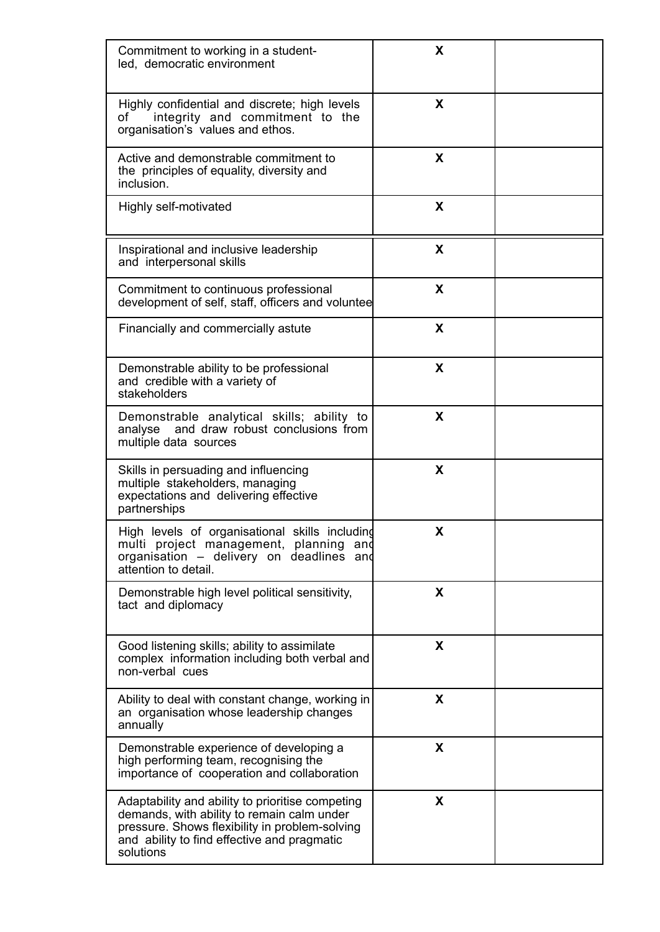| Commitment to working in a student-<br>led, democratic environment                                                                                                                                           | X |  |
|--------------------------------------------------------------------------------------------------------------------------------------------------------------------------------------------------------------|---|--|
| Highly confidential and discrete; high levels<br>integrity and commitment to the<br>of<br>organisation's values and ethos.                                                                                   | X |  |
| Active and demonstrable commitment to<br>the principles of equality, diversity and<br>inclusion.                                                                                                             | X |  |
| Highly self-motivated                                                                                                                                                                                        | X |  |
| Inspirational and inclusive leadership<br>and interpersonal skills                                                                                                                                           | X |  |
| Commitment to continuous professional<br>development of self, staff, officers and voluntee                                                                                                                   | X |  |
| Financially and commercially astute                                                                                                                                                                          | X |  |
| Demonstrable ability to be professional<br>and credible with a variety of<br>stakeholders                                                                                                                    | X |  |
| Demonstrable analytical skills; ability to<br>analyse and draw robust conclusions from<br>multiple data sources                                                                                              | X |  |
| Skills in persuading and influencing<br>multiple stakeholders, managing<br>expectations and delivering effective<br>partnerships                                                                             | X |  |
| High levels of organisational skills including<br>multi project management, planning<br>and<br>organisation - delivery on deadlines and<br>attention to detail.                                              | X |  |
| Demonstrable high level political sensitivity,<br>tact and diplomacy                                                                                                                                         | X |  |
| Good listening skills; ability to assimilate<br>complex information including both verbal and<br>non-verbal cues                                                                                             | X |  |
| Ability to deal with constant change, working in<br>an organisation whose leadership changes<br>annually                                                                                                     | X |  |
| Demonstrable experience of developing a<br>high performing team, recognising the<br>importance of cooperation and collaboration                                                                              | X |  |
| Adaptability and ability to prioritise competing<br>demands, with ability to remain calm under<br>pressure. Shows flexibility in problem-solving<br>and ability to find effective and pragmatic<br>solutions | X |  |